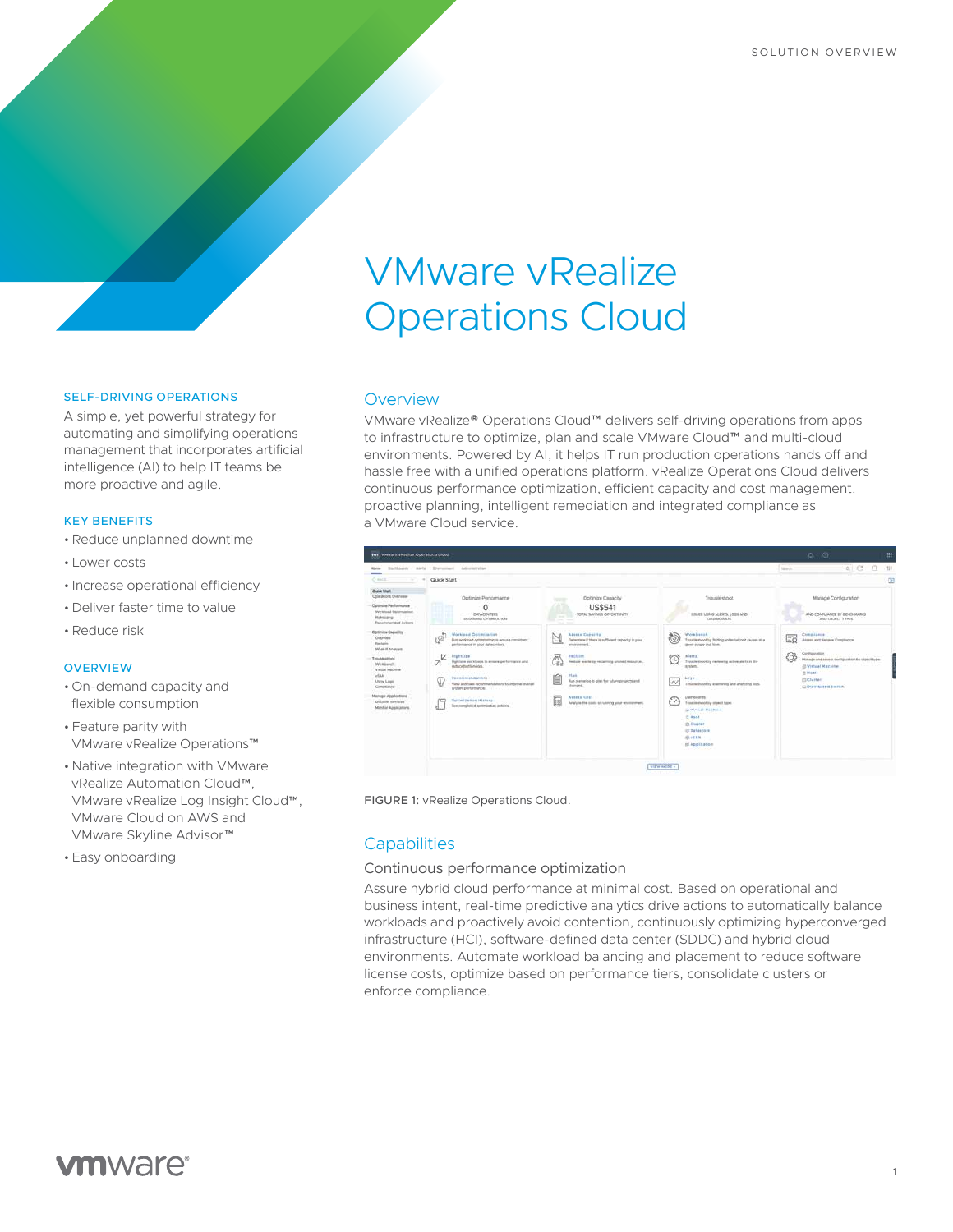# VMware vRealize Operations Cloud

# SELF-DRIVING OPERATIONS

A simple, yet powerful strategy for automating and simplifying operations management that incorporates artificial intelligence (AI) to help IT teams be more proactive and agile.

# KEY BENEFITS

- •Reduce unplanned downtime
- Lower costs
- Increase operational efficiency
- Deliver faster time to value
- •Reduce risk

#### **OVERVIEW**

- On-demand capacity and flexible consumption
- Feature parity with VMware vRealize Operations™
- Native integration with VMware vRealize Automation Cloud™, VMware vRealize Log Insight Cloud™, VMware Cloud on AWS and VMware Skyline Advisor™
- Easy onboarding

# **Overview**

VMware vRealize® Operations Cloud™ delivers self-driving operations from apps to infrastructure to optimize, plan and scale VMware Cloud™ and multi-cloud environments. Powered by AI, it helps IT run production operations hands off and hassle free with a unified operations platform. vRealize Operations Cloud delivers continuous performance optimization, efficient capacity and cost management, proactive planning, intelligent remediation and integrated compliance as a VMware Cloud service.

| <b>Minney</b>                                                                                                                                                                                                                                            | Darthausti Aleria Divisionisch Adversitution                                                                                                                                                                                                                                                                                                                                                                                               |                                                                                                                                                                                                                                                                                                                                                 |                                                                                                                                                                                                                                                                                                                                                                                                                                                                                   | a C B<br>728<br><b>Sawyer</b>                                                                                                                                                                               |
|----------------------------------------------------------------------------------------------------------------------------------------------------------------------------------------------------------------------------------------------------------|--------------------------------------------------------------------------------------------------------------------------------------------------------------------------------------------------------------------------------------------------------------------------------------------------------------------------------------------------------------------------------------------------------------------------------------------|-------------------------------------------------------------------------------------------------------------------------------------------------------------------------------------------------------------------------------------------------------------------------------------------------------------------------------------------------|-----------------------------------------------------------------------------------------------------------------------------------------------------------------------------------------------------------------------------------------------------------------------------------------------------------------------------------------------------------------------------------------------------------------------------------------------------------------------------------|-------------------------------------------------------------------------------------------------------------------------------------------------------------------------------------------------------------|
| $C$ finitifi<br>- -<br>$\rightarrow$                                                                                                                                                                                                                     | Quick Start                                                                                                                                                                                                                                                                                                                                                                                                                                |                                                                                                                                                                                                                                                                                                                                                 |                                                                                                                                                                                                                                                                                                                                                                                                                                                                                   | 固                                                                                                                                                                                                           |
| <b>Quick Start</b><br>Opatations Overview<br>Optimise Ferturnance<br>Westmad Outerstation.<br><b><i><u>Wahnieng</u></i></b><br>Recurrences pad Automa                                                                                                    | Optimize Performance<br>O<br>CATACOVITAS<br><b>JECKSTERT DANIELS</b>                                                                                                                                                                                                                                                                                                                                                                       | Optimize Capacity<br><b>US\$541</b><br>TOTAL SAVINGS OPPORTUNITY<br>$-1$<br><b>Contract Contract</b><br>$-1 - 1$                                                                                                                                                                                                                                | Traubleshoot<br>ISSUES USAIS ALERTS, LOCILAND<br>DAIMOURDE                                                                                                                                                                                                                                                                                                                                                                                                                        | Manage Configuration<br>AND COMPLIANCE BY BENCHMARKS<br>AND OBJECT TYPES                                                                                                                                    |
| Optimize Capacity<br>Overview<br>Bernard<br>Wrat-If Analyst<br>Troublestwell<br><b><i>Medianon</i></b><br><b>Unford Machiner</b><br>viale)<br>Artaine Lange<br>Cimiliance<br>Manage Applications<br>Discount Services<br>Manke Appleating<br>91 092239 M | Workload Octimisation<br>Ø<br>But soldied edimistics to ansure considers.<br>parliamance in your distacanters.<br><b>Bigitaire</b><br>k<br><b>ZI</b><br>Burnisian workloads to immune parto-manus and<br>remine bottlenedes.<br>Recommendations<br>₩<br>View and take recommendations to interior menal.<br>sythere performance<br>ava<br><b>CONTRACTOR</b><br>Delimization History<br>$\sim$<br>See rompleted optimization actions.<br>×. | Attess Capacity<br>hЖ<br>Determine if there is sufficient capacity in your<br>www.com<br><b>Buildain</b><br>Reduce weeks by recognizing cruned resources.<br><b>R</b> fack<br><b>ICH</b><br>巨<br>Was scenarios to plan for future projects and<br>stengel.<br>$rac{1}{2}$<br>Assess Cost<br>朏<br>Analyzie the costs of nutring your enumerance. | Workbensk<br>Traubleshoot by freding potential tool causes it a<br>greet-scope and line.<br>ema<br><b>Slaves</b><br>Translate to put the interesting actives win framework<br>www.communication<br>system.<br>$Lrg$ t<br>--<br>W<br>Troubleshoot by exertering and analyzing lings<br>Dashboards<br>v<br><b>Eluxable should by others! hand:</b><br>in Virtual Hachine<br><b>IT Hoof</b><br><b>O Cluster</b><br><b>St Belastare</b><br><b>IR LEAK</b><br>of Application<br>-33434 | Complanie<br>Ξö<br>Assess and Nanage Complement<br>Contiguador<br>łO.<br>Manage and assess configuration by vigect type<br><b>Ill Virtual Machine</b><br>m Heatt<br><b>CLICARDO</b><br>C Distributed Switch |

FIGURE 1: vRealize Operations Cloud.

# **Capabilities**

# Continuous performance optimization

Assure hybrid cloud performance at minimal cost. Based on operational and business intent, real-time predictive analytics drive actions to automatically balance workloads and proactively avoid contention, continuously optimizing hyperconverged infrastructure (HCI), software-defined data center (SDDC) and hybrid cloud environments. Automate workload balancing and placement to reduce software license costs, optimize based on performance tiers, consolidate clusters or enforce compliance.